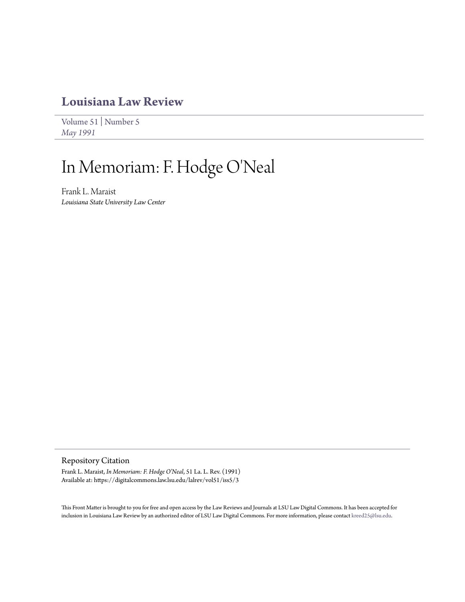## **[Louisiana Law Review](https://digitalcommons.law.lsu.edu/lalrev)**

[Volume 51](https://digitalcommons.law.lsu.edu/lalrev/vol51) | [Number 5](https://digitalcommons.law.lsu.edu/lalrev/vol51/iss5) *[May 1991](https://digitalcommons.law.lsu.edu/lalrev/vol51/iss5)*

# In Memoriam: F. Hodge O'Neal

Frank L. Maraist *Louisiana State University Law Center*

#### Repository Citation

Frank L. Maraist, *In Memoriam: F. Hodge O'Neal*, 51 La. L. Rev. (1991) Available at: https://digitalcommons.law.lsu.edu/lalrev/vol51/iss5/3

This Front Matter is brought to you for free and open access by the Law Reviews and Journals at LSU Law Digital Commons. It has been accepted for inclusion in Louisiana Law Review by an authorized editor of LSU Law Digital Commons. For more information, please contact [kreed25@lsu.edu](mailto:kreed25@lsu.edu).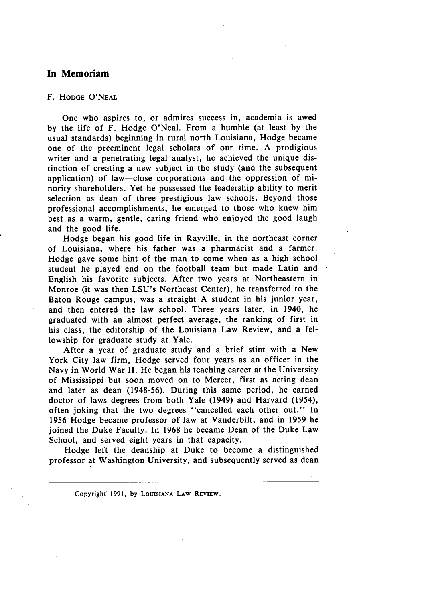#### **In Memoriam**

#### F. **HODGE** O'NEAL

One who aspires to, or admires success in, academia is awed **by** the life of F. Hodge O'Neal. From a humble (at least **by** the usual standards) beginning in rural north Louisiana, Hodge became one of the preeminent legal scholars of our time. A prodigious writer and a penetrating legal analyst, he achieved the unique distinction of creating a new subject in the study (and the subsequent application) of law-close corporations and the oppression of minority shareholders. Yet he possessed the leadership ability to merit selection as dean of three prestigious law schools. Beyond those professional accomplishments, he emerged to those who knew him best as a warm, gentle, caring friend who enjoyed the good laugh and the good life.

Hodge began his good life in Rayville, in the northeast corner of Louisiana, where his father was a pharmacist and a farmer. Hodge gave some hint of the man to come when as a high school student he played end on the football team but made Latin and English his favorite subjects. After two years at Northeastern in Monroe (it was then LSU's Northeast Center), he transferred to the Baton Rouge campus, was a straight A student in his junior year, and then entered the law school. Three years later, in 1940, he graduated with an almost perfect average, the ranking of first in his class, the editorship of the Louisiana Law Review, and a fellowship for graduate study at Yale.

After a year of graduate study and a brief stint with a New York City law firm, Hodge served four years as an officer in the Navy in World War II. He began his teaching career at the University of Mississippi but soon moved on to Mercer, first as acting dean and later as dean (1948-56). During this same period, he earned doctor of laws degrees from both Yale (1949) and Harvard (1954), often joking that the two degrees "cancelled each other out." In 1956 Hodge became professor of law at Vanderbilt, and in **1959** he joined the Duke Faculty. In **1968** he became Dean of the Duke Law School, and served eight years in that capacity.

Hodge left the deanship at Duke to become a distinguished professor at Washington University, and subsequently served as dean

Copyright **1991, by LOUISIANA LAW REVIEW.**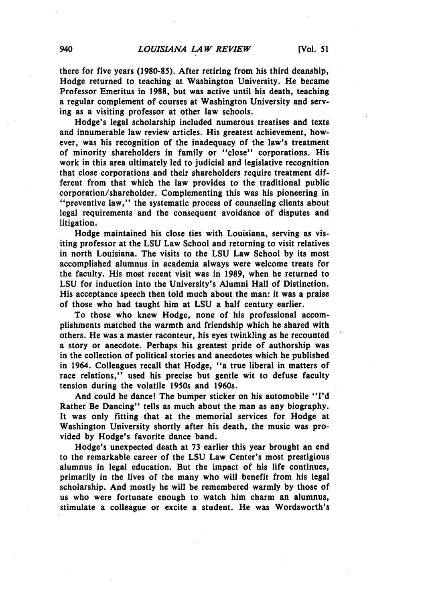there for five years **(1980-85).** After retiring from his third deanship, Hodge returned to teaching at Washington University. He became Professor Emeritus in **1988,** but was active until his death, teaching a regular complement of courses at Washington University and serving as a visiting professor at other law schools.

Hodge's legal scholarship included numerous treatises and texts and innumerable law review articles. His greatest achievement, however, was his recognition of the inadequacy of the law's treatment of minority shareholders in family or "close" corporations. His work in this area ultimately led to judicial and legislative recognition that close corporations and their shareholders require treatment different from that which the law provides to the traditional public corporation/shareholder. Complementing this was his pioneering in "preventive law," the systematic process of counseling clients about legal requirements and the consequent avoidance of disputes and litigation.

Hodge maintained his close ties with Louisiana, serving as visiting professor at the **LSU** Law School and returning to visit relatives in north Louisiana. The visits to the **LSU** Law School **by** its most accomplished alumnus in academia always were welcome treats for the faculty. His most recent visit was in **1989,** when he returned to **LSU** for induction into the University's Alumni Hall of Distinction. His acceptance speech then told much about the man: it was a praise of those who had taught him at **LSU** a half century earlier.

To those who knew Hodge, none of his professional accomplishments matched the warmth and friendship which he shared with others. He was a master raconteur, his eyes twinkling as he recounted a story or anecdote. Perhaps his greatest pride of authorship was in the collection of political stories and anecdotes which he published in 1964. Colleagues recall that Hodge, "a true liberal in matters of race relations," used his precise but gentle wit to defuse faculty tension during the volatile 1950s and 1960s.

And could he dance! The bumper sticker on his automobile **"I'd** Rather Be Dancing" tells as much about the man as any biography. It was only fitting that at the memorial services for Hodge at Washington University shortly after his death, the music was provided **by** Hodge's favorite dance band.

Hodge's unexpected death at **73** earlier this year brought an end to the remarkable career of the **LSU** Law Center's most prestigious alumnus in legal education. But the impact of his life continues, primarily in the lives of the many who will benefit from his legal scholarship. And mostly he will be remembered warmly **by** those of us who were fortunate enough to watch him charm an alumnus, stimulate a colleague or excite a student. He was Wordsworth's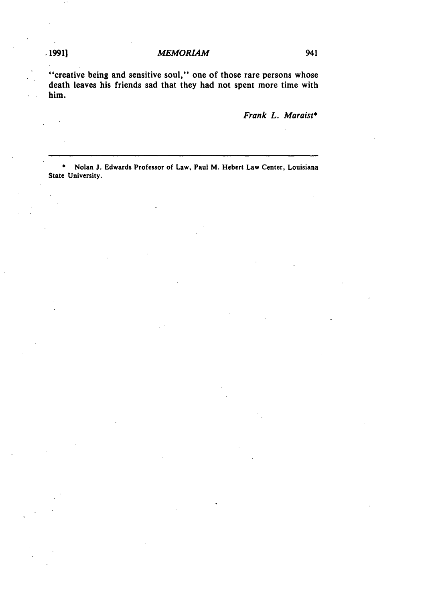### **1991]** *MEMORIAM* 941

"creative being and sensitive soul," one of those rare persons whose death leaves his friends sad that they had not spent more time with him.

*Frank L. Maraist\**

**\*** Nolan **J.** Edwards Professor of Law, Paul M. Hebert Law Center, Louisiana State University.